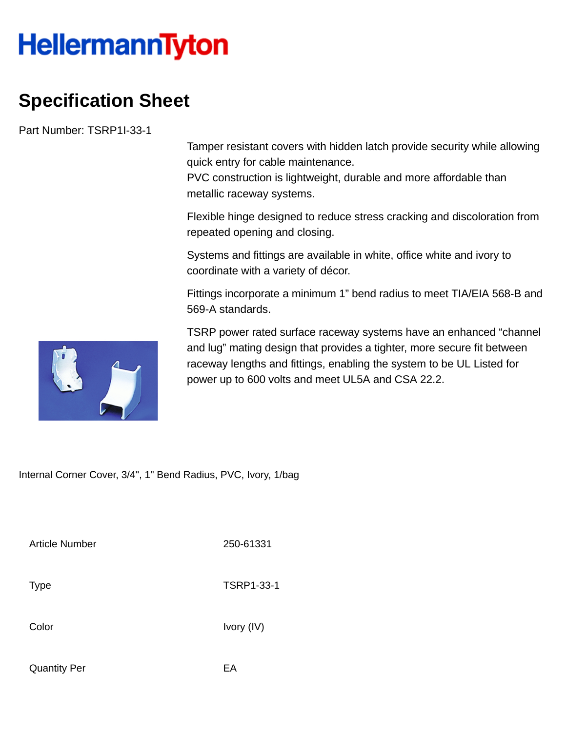## **HellermannTyton**

## **Specification Sheet**

Part Number: TSRP1I-33-1

Tamper resistant covers with hidden latch provide security while allowing quick entry for cable maintenance.

PVC construction is lightweight, durable and more affordable than metallic raceway systems.

Flexible hinge designed to reduce stress cracking and discoloration from repeated opening and closing.

Systems and fittings are available in white, office white and ivory to coordinate with a variety of décor.

Fittings incorporate a minimum 1" bend radius to meet TIA/EIA 568-B and 569-A standards.



TSRP power rated surface raceway systems have an enhanced "channel and lug" mating design that provides a tighter, more secure fit between raceway lengths and fittings, enabling the system to be UL Listed for power up to 600 volts and meet UL5A and CSA 22.2.

Internal Corner Cover, 3/4", 1" Bend Radius, PVC, Ivory, 1/bag

Article Number 250-61331

Color Ivory (IV)

Type TSRP1-33-1

Quantity Per **EA**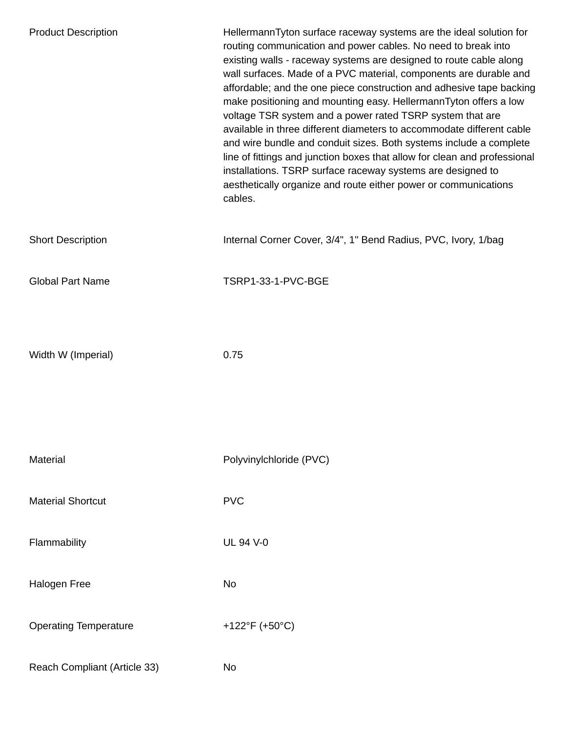| <b>Product Description</b>   | HellermannTyton surface raceway systems are the ideal solution for<br>routing communication and power cables. No need to break into<br>existing walls - raceway systems are designed to route cable along<br>wall surfaces. Made of a PVC material, components are durable and<br>affordable; and the one piece construction and adhesive tape backing<br>make positioning and mounting easy. HellermannTyton offers a low<br>voltage TSR system and a power rated TSRP system that are<br>available in three different diameters to accommodate different cable<br>and wire bundle and conduit sizes. Both systems include a complete<br>line of fittings and junction boxes that allow for clean and professional<br>installations. TSRP surface raceway systems are designed to<br>aesthetically organize and route either power or communications<br>cables. |
|------------------------------|------------------------------------------------------------------------------------------------------------------------------------------------------------------------------------------------------------------------------------------------------------------------------------------------------------------------------------------------------------------------------------------------------------------------------------------------------------------------------------------------------------------------------------------------------------------------------------------------------------------------------------------------------------------------------------------------------------------------------------------------------------------------------------------------------------------------------------------------------------------|
| <b>Short Description</b>     | Internal Corner Cover, 3/4", 1" Bend Radius, PVC, Ivory, 1/bag                                                                                                                                                                                                                                                                                                                                                                                                                                                                                                                                                                                                                                                                                                                                                                                                   |
| <b>Global Part Name</b>      | TSRP1-33-1-PVC-BGE                                                                                                                                                                                                                                                                                                                                                                                                                                                                                                                                                                                                                                                                                                                                                                                                                                               |
|                              |                                                                                                                                                                                                                                                                                                                                                                                                                                                                                                                                                                                                                                                                                                                                                                                                                                                                  |
| Width W (Imperial)           | 0.75                                                                                                                                                                                                                                                                                                                                                                                                                                                                                                                                                                                                                                                                                                                                                                                                                                                             |
|                              |                                                                                                                                                                                                                                                                                                                                                                                                                                                                                                                                                                                                                                                                                                                                                                                                                                                                  |
| Material                     | Polyvinylchloride (PVC)                                                                                                                                                                                                                                                                                                                                                                                                                                                                                                                                                                                                                                                                                                                                                                                                                                          |
| <b>Material Shortcut</b>     | <b>PVC</b>                                                                                                                                                                                                                                                                                                                                                                                                                                                                                                                                                                                                                                                                                                                                                                                                                                                       |
| Flammability                 | <b>UL 94 V-0</b>                                                                                                                                                                                                                                                                                                                                                                                                                                                                                                                                                                                                                                                                                                                                                                                                                                                 |
| <b>Halogen Free</b>          | No                                                                                                                                                                                                                                                                                                                                                                                                                                                                                                                                                                                                                                                                                                                                                                                                                                                               |
| <b>Operating Temperature</b> | +122°F (+50°C)                                                                                                                                                                                                                                                                                                                                                                                                                                                                                                                                                                                                                                                                                                                                                                                                                                                   |
| Reach Compliant (Article 33) | No                                                                                                                                                                                                                                                                                                                                                                                                                                                                                                                                                                                                                                                                                                                                                                                                                                                               |